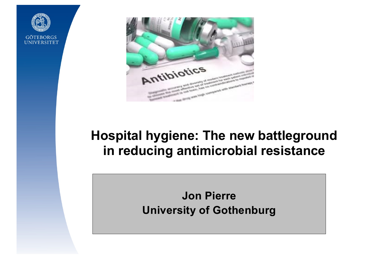



# **Hospital hygiene: The new battleground in reducing antimicrobial resistance**

**Jon Pierre University of Gothenburg**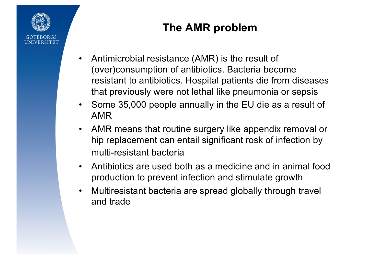

## **The AMR problem**

- Antimicrobial resistance (AMR) is the result of (over)consumption of antibiotics. Bacteria become resistant to antibiotics. Hospital patients die from diseases that previously were not lethal like pneumonia or sepsis
- Some 35,000 people annually in the EU die as a result of AMR
- AMR means that routine surgery like appendix removal or hip replacement can entail significant rosk of infection by multi-resistant bacteria
- Antibiotics are used both as a medicine and in animal food production to prevent infection and stimulate growth
- Multiresistant bacteria are spread globally through travel and trade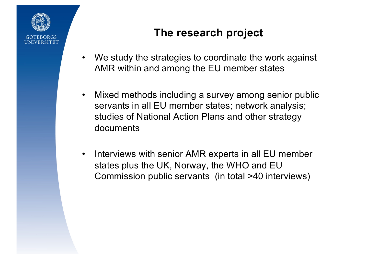

#### **The research project**

- We study the strategies to coordinate the work against AMR within and among the EU member states
- Mixed methods including a survey among senior public servants in all EU member states; network analysis; studies of National Action Plans and other strategy documents
- Interviews with senior AMR experts in all EU member states plus the UK, Norway, the WHO and EU Commission public servants (in total >40 interviews)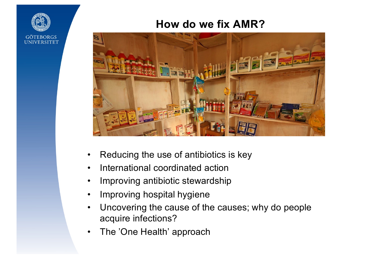#### **How do we fix AMR?**



- Reducing the use of antibiotics is key
- International coordinated action
- Improving antibiotic stewardship
- Improving hospital hygiene
- Uncovering the cause of the causes; why do people acquire infections?
- The 'One Health' approach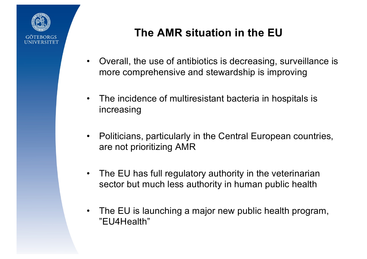

### **The AMR situation in the EU**

- Overall, the use of antibiotics is decreasing, surveillance is more comprehensive and stewardship is improving
- The incidence of multiresistant bacteria in hospitals is increasing
- Politicians, particularly in the Central European countries, are not prioritizing AMR
- The EU has full regulatory authority in the veterinarian sector but much less authority in human public health
- The EU is launching a major new public health program, "EU4Health"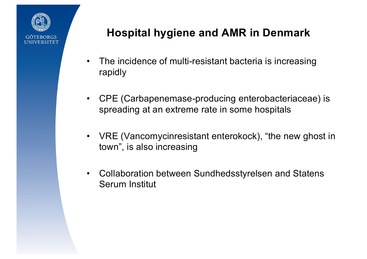

#### **Hospital hygiene and AMR in Denmark**

- The incidence of multi-resistant bacteria is increasing rapidly
- CPE (Carbapenemase-producing enterobacteriaceae) is spreading at an extreme rate in some hospitals
- VRE (Vancomycinresistant enterokock), "the new ghost in town", is also increasing
- Collaboration between Sundhedsstyrelsen and Statens Serum Institut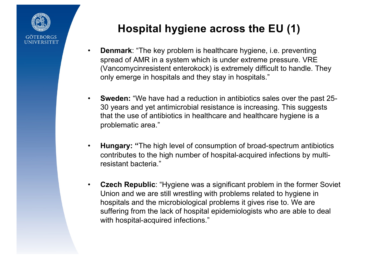

## **Hospital hygiene across the EU (1)**

- **Denmark**: "The key problem is healthcare hygiene, i.e. preventing spread of AMR in a system which is under extreme pressure. VRE (Vancomycinresistent enterokock) is extremely difficult to handle. They only emerge in hospitals and they stay in hospitals."
- **Sweden:** "We have had a reduction in antibiotics sales over the past 25- 30 years and yet antimicrobial resistance is increasing. This suggests that the use of antibiotics in healthcare and healthcare hygiene is a problematic area."
- **Hungary: "**The high level of consumption of broad-spectrum antibiotics contributes to the high number of hospital-acquired infections by multiresistant bacteria."
- **Czech Republic**: "Hygiene was a significant problem in the former Soviet Union and we are still wrestling with problems related to hygiene in hospitals and the microbiological problems it gives rise to. We are suffering from the lack of hospital epidemiologists who are able to deal with hospital-acquired infections."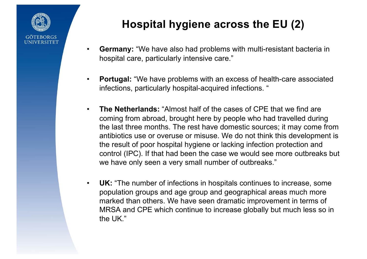

# **Hospital hygiene across the EU (2)**

- **Germany:** "We have also had problems with multi-resistant bacteria in hospital care, particularly intensive care."
- **Portugal:** "We have problems with an excess of health-care associated infections, particularly hospital-acquired infections. "
- **The Netherlands:** "Almost half of the cases of CPE that we find are coming from abroad, brought here by people who had travelled during the last three months. The rest have domestic sources; it may come from antibiotics use or overuse or misuse. We do not think this development is the result of poor hospital hygiene or lacking infection protection and control (IPC). If that had been the case we would see more outbreaks but we have only seen a very small number of outbreaks."
- **UK:** "The number of infections in hospitals continues to increase, some population groups and age group and geographical areas much more marked than others. We have seen dramatic improvement in terms of MRSA and CPE which continue to increase globally but much less so in the UK."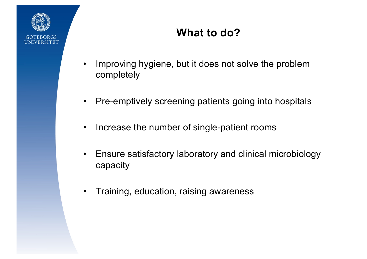

## **What to do?**

- Improving hygiene, but it does not solve the problem completely
- Pre-emptively screening patients going into hospitals
- Increase the number of single-patient rooms
- Ensure satisfactory laboratory and clinical microbiology capacity
- Training, education, raising awareness